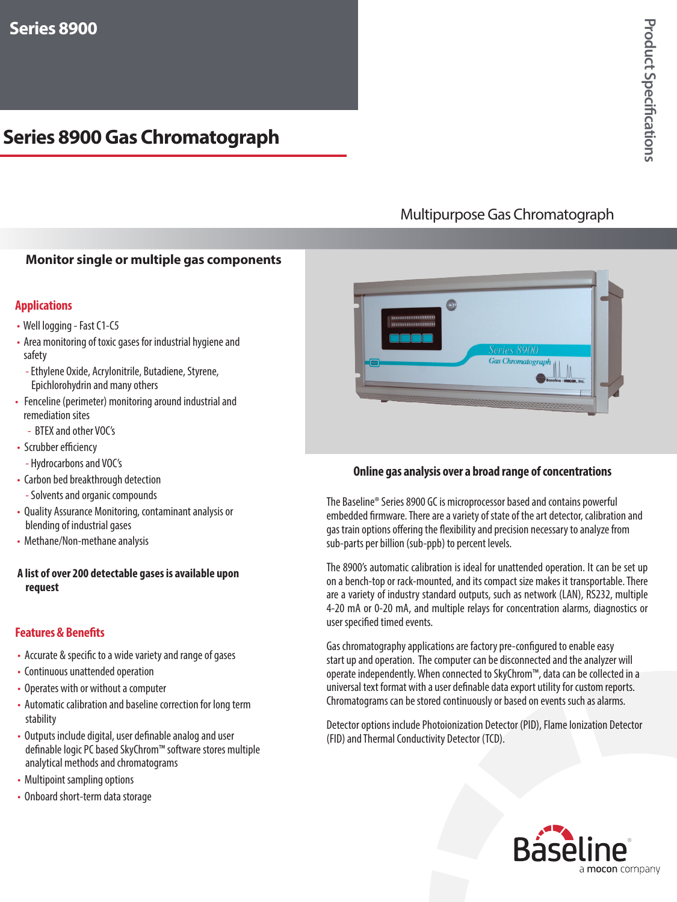# **Series 8900 Gas Chromatograph**

## Multipurpose Gas Chromatograph

### **Monitor single or multiple gas components**

#### **Applications**

- Well logging Fast C1-C5
- Area monitoring of toxic gases for industrial hygiene and safety
- Ethylene Oxide, Acrylonitrile, Butadiene, Styrene, Epichlorohydrin and many others
- Fenceline (perimeter) monitoring around industrial and remediation sites
	- BTEX and other VOC's
- Scrubber efficiency
- Hydrocarbons and VOC's
- Carbon bed breakthrough detection
	- Solvents and organic compounds
- Quality Assurance Monitoring, contaminant analysis or blending of industrial gases
- Methane/Non-methane analysis

#### **A list of over 200 detectable gases is available upon request**

#### **Features & Benefits**

- Accurate & specific to a wide variety and range of gases
- Continuous unattended operation
- Operates with or without a computer
- Automatic calibration and baseline correction for long term stability
- Outputs include digital, user definable analog and user definable logic PC based SkyChrom™ software stores multiple analytical methods and chromatograms
- Multipoint sampling options
- Onboard short-term data storage

#### **Online gas analysis over a broad range of concentrations**

The Baseline® Series 8900 GC is microprocessor based and contains powerful embedded firmware. There are a variety of state of the art detector, calibration and gas train options offering the flexibility and precision necessary to analyze from sub-parts per billion (sub-ppb) to percent levels.

The 8900's automatic calibration is ideal for unattended operation. It can be set up on a bench-top or rack-mounted, and its compact size makes it transportable. There are a variety of industry standard outputs, such as network (LAN), RS232, multiple 4-20 mA or 0-20 mA, and multiple relays for concentration alarms, diagnostics or user specified timed events.

Gas chromatography applications are factory pre-configured to enable easy start up and operation. The computer can be disconnected and the analyzer will operate independently. When connected to SkyChrom™, data can be collected in a universal text format with a user definable data export utility for custom reports. Chromatograms can be stored continuously or based on events such as alarms.

Detector options include Photoionization Detector (PID), Flame Ionization Detector (FID) and Thermal Conductivity Detector (TCD).